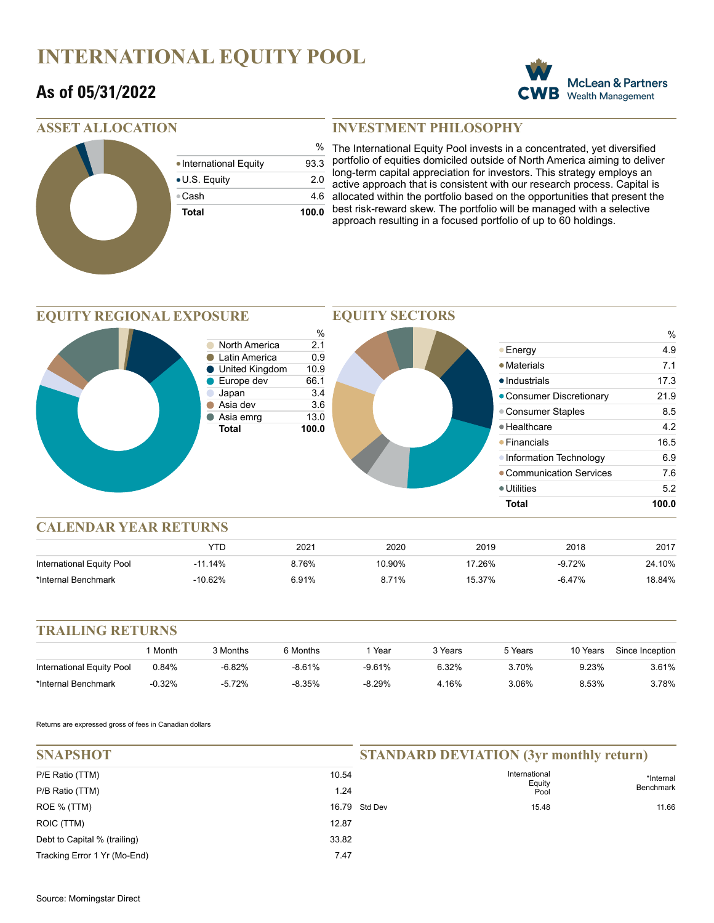## **INTERNATIONAL EQUITY POOL**

### **As of 05/31/2022**



#### **ASSET ALLOCATION**

|                        | %     |
|------------------------|-------|
| • International Equity | 93.3  |
| • U.S. Equity          | 2.0   |
| ⊕Cash                  | 4.6   |
| <b>Total</b>           | 100.0 |
|                        |       |

#### **INVESTMENT PHILOSOPHY**

% The International Equity Pool invests in a concentrated, yet diversified portfolio of equities domiciled outside of North America aiming to deliver long-term capital appreciation for investors. This strategy employs an active approach that is consistent with our research process. Capital is allocated within the portfolio based on the opportunities that present the best risk-reward skew. The portfolio will be managed with a selective approach resulting in a focused portfolio of up to 60 holdings.

#### **EQUITY REGIONAL EXPOSURE**



**EQUITY SECTORS**

#### **CALENDAR YEAR RETURNS**

|                           |           | 2021  | 2020   | 2019   | 2018      | 2017   |
|---------------------------|-----------|-------|--------|--------|-----------|--------|
| International Equity Pool | $-11.14%$ | 8.76% | 10.90% | '7.26% | $-9.72%$  | 24.10% |
| *Internal Benchmark       | $-10.62%$ | 6.91% | 8.71%  | 15.37% | $-6.47\%$ | 18.84% |

#### **TRAILING RETURNS**

|                           | Month    | 3 Months | 6 Months | Year     | <sup>າ</sup> Years | 5 Years | 10 Years | Since Inception |
|---------------------------|----------|----------|----------|----------|--------------------|---------|----------|-----------------|
| International Equity Pool | 0.84%    | -6.82%   | $-8.61%$ | $-9.61%$ | 6.32%              | 3.70%   | 9.23%    | 3.61%           |
| *Internal Benchmark       | $-0.32%$ | -5.72%   | -8.35%   | $-8.29%$ | 4.16%              | 3.06%   | 8.53%    | 3.78%           |

Returns are expressed gross of fees in Canadian dollars

| <b>SNAPSHOT</b>              |       | <b>STANDARD DEVIATION (3yr monthly return)</b> |                         |                  |
|------------------------------|-------|------------------------------------------------|-------------------------|------------------|
| P/E Ratio (TTM)              | 10.54 |                                                | International<br>Equity | *Internal        |
| P/B Ratio (TTM)              | 1.24  |                                                | Pool                    | <b>Benchmark</b> |
| ROE % (TTM)                  |       | 16.79 Std Dev                                  | 15.48                   | 11.66            |
| ROIC (TTM)                   | 12.87 |                                                |                         |                  |
| Debt to Capital % (trailing) | 33.82 |                                                |                         |                  |
| Tracking Error 1 Yr (Mo-End) | 7.47  |                                                |                         |                  |